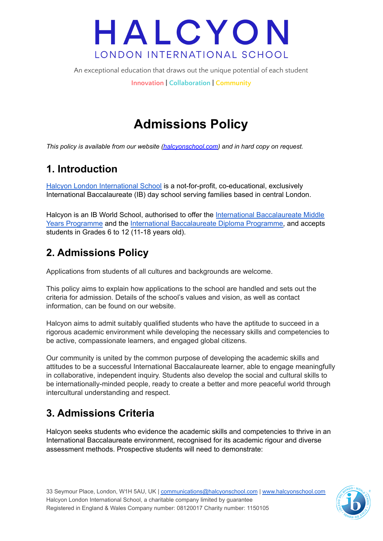An exceptional education that draws out the unique potential of each student

**Innovation | Collaboration | Community**

## **Admissions Policy**

*This policy is available from our website [\(halcyonschool.com](http://www.halcyonschool.com)) and in hard copy on request.*

## **1. Introduction**

Halcyon London [International](https://halcyonschool.com/) School is a not-for-profit, co-educational, exclusively International Baccalaureate (IB) day school serving families based in central London.

Halcyon is an IB World School, authorised to offer the International [Baccalaureate](http://www.ibo.org/myp/) Middle Years [Programme](http://www.ibo.org/myp/) and the International [Baccalaureate](http://www.ibo.org/diploma/) Diploma Programme, and accepts students in Grades 6 to 12 (11-18 years old).

## **2. Admissions Policy**

Applications from students of all cultures and backgrounds are welcome.

This policy aims to explain how applications to the school are handled and sets out the criteria for admission. Details of the school's values and vision, as well as contact information, can be found on our website.

Halcyon aims to admit suitably qualified students who have the aptitude to succeed in a rigorous academic environment while developing the necessary skills and competencies to be active, compassionate learners, and engaged global citizens.

Our community is united by the common purpose of developing the academic skills and attitudes to be a successful International Baccalaureate learner, able to engage meaningfully in collaborative, independent inquiry. Students also develop the social and cultural skills to be internationally-minded people, ready to create a better and more peaceful world through intercultural understanding and respect.

## **3. Admissions Criteria**

Halcyon seeks students who evidence the academic skills and competencies to thrive in an International Baccalaureate environment, recognised for its academic rigour and diverse assessment methods. Prospective students will need to demonstrate:

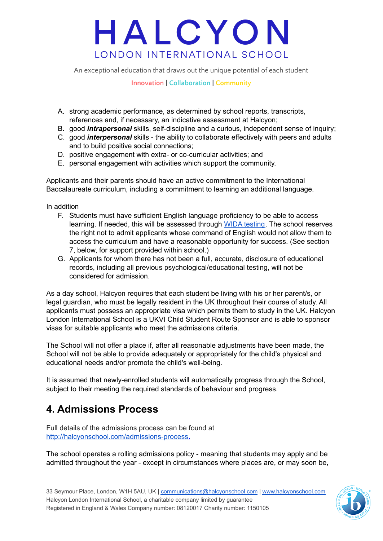An exceptional education that draws out the unique potential of each student

#### **Innovation | Collaboration | Community**

- A. strong academic performance, as determined by school reports, transcripts, references and, if necessary, an indicative assessment at Halcyon;
- B. good *intrapersonal* skills, self-discipline and a curious, independent sense of inquiry;
- C. good *interpersonal* skills the ability to collaborate effectively with peers and adults and to build positive social connections;
- D. positive engagement with extra- or co-curricular activities; and
- E. personal engagement with activities which support the community.

Applicants and their parents should have an active commitment to the International Baccalaureate curriculum, including a commitment to learning an additional language.

In addition

- F. Students must have sufficient English language proficiency to be able to access learning. If needed, this will be assessed through WIDA [testing.](https://wida.wisc.edu/assess/model) The school reserves the right not to admit applicants whose command of English would not allow them to access the curriculum and have a reasonable opportunity for success. (See section 7, below, for support provided within school.)
- G. Applicants for whom there has not been a full, accurate, disclosure of educational records, including all previous psychological/educational testing, will not be considered for admission.

As a day school, Halcyon requires that each student be living with his or her parent/s, or legal guardian, who must be legally resident in the UK throughout their course of study. All applicants must possess an appropriate visa which permits them to study in the UK. Halcyon London International School is a UKVI Child Student Route Sponsor and is able to sponsor visas for suitable applicants who meet the admissions criteria.

The School will not offer a place if, after all reasonable adjustments have been made, the School will not be able to provide adequately or appropriately for the child's physical and educational needs and/or promote the child's well-being.

It is assumed that newly-enrolled students will automatically progress through the School, subject to their meeting the required standards of behaviour and progress.

### **4. Admissions Process**

Full details of the admissions process can be found at <http://halcyonschool.com/admissions-process>.

The school operates a rolling admissions policy - meaning that students may apply and be admitted throughout the year - except in circumstances where places are, or may soon be,

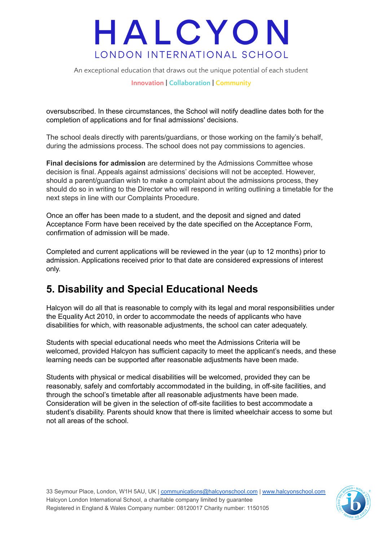An exceptional education that draws out the unique potential of each student

#### **Innovation | Collaboration | Community**

oversubscribed. In these circumstances, the School will notify deadline dates both for the completion of applications and for final admissions' decisions.

The school deals directly with parents/guardians, or those working on the family's behalf, during the admissions process. The school does not pay commissions to agencies.

**Final decisions for admission** are determined by the Admissions Committee whose decision is final. Appeals against admissions' decisions will not be accepted. However, should a parent/guardian wish to make a complaint about the admissions process, they should do so in writing to the Director who will respond in writing outlining a timetable for the next steps in line with our Complaints Procedure.

Once an offer has been made to a student, and the deposit and signed and dated Acceptance Form have been received by the date specified on the Acceptance Form, confirmation of admission will be made.

Completed and current applications will be reviewed in the year (up to 12 months) prior to admission. Applications received prior to that date are considered expressions of interest only.

### **5. Disability and Special Educational Needs**

Halcyon will do all that is reasonable to comply with its legal and moral responsibilities under the Equality Act 2010, in order to accommodate the needs of applicants who have disabilities for which, with reasonable adjustments, the school can cater adequately.

Students with special educational needs who meet the Admissions Criteria will be welcomed, provided Halcyon has sufficient capacity to meet the applicant's needs, and these learning needs can be supported after reasonable adjustments have been made.

Students with physical or medical disabilities will be welcomed, provided they can be reasonably, safely and comfortably accommodated in the building, in off-site facilities, and through the school's timetable after all reasonable adjustments have been made. Consideration will be given in the selection of off-site facilities to best accommodate a student's disability. Parents should know that there is limited wheelchair access to some but not all areas of the school.

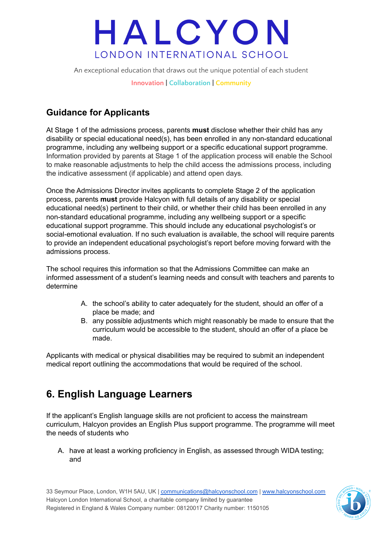An exceptional education that draws out the unique potential of each student

**Innovation | Collaboration | Community**

### **Guidance for Applicants**

At Stage 1 of the admissions process, parents **must** disclose whether their child has any disability or special educational need(s), has been enrolled in any non-standard educational programme, including any wellbeing support or a specific educational support programme. Information provided by parents at Stage 1 of the application process will enable the School to make reasonable adjustments to help the child access the admissions process, including the indicative assessment (if applicable) and attend open days*.*

Once the Admissions Director invites applicants to complete Stage 2 of the application process, parents **must** provide Halcyon with full details of any disability or special educational need(s) pertinent to their child, or whether their child has been enrolled in any non-standard educational programme, including any wellbeing support or a specific educational support programme. This should include any educational psychologist's or social-emotional evaluation. If no such evaluation is available, the school will require parents to provide an independent educational psychologist's report before moving forward with the admissions process.

The school requires this information so that the Admissions Committee can make an informed assessment of a student's learning needs and consult with teachers and parents to determine

- A. the school's ability to cater adequately for the student, should an offer of a place be made; and
- B. any possible adjustments which might reasonably be made to ensure that the curriculum would be accessible to the student, should an offer of a place be made.

Applicants with medical or physical disabilities may be required to submit an independent medical report outlining the accommodations that would be required of the school.

## **6. English Language Learners**

If the applicant's English language skills are not proficient to access the mainstream curriculum, Halcyon provides an English Plus support programme. The programme will meet the needs of students who

A. have at least a working proficiency in English, as assessed through WIDA testing; and